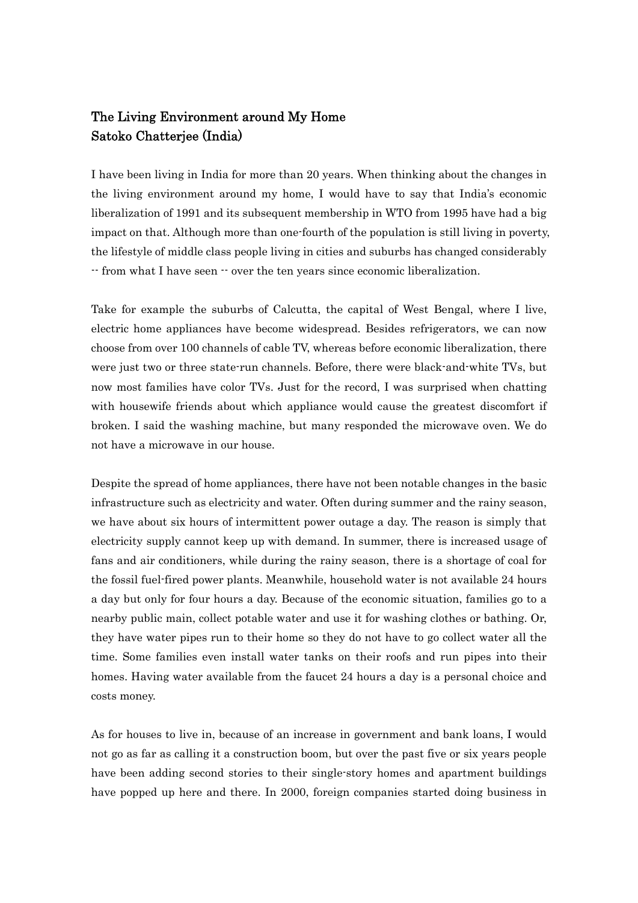## The Living Environment around My Home Satoko Chatterjee (India)

I have been living in India for more than 20 years. When thinking about the changes in the living environment around my home, I would have to say that India's economic liberalization of 1991 and its subsequent membership in WTO from 1995 have had a big impact on that. Although more than one-fourth of the population is still living in poverty, the lifestyle of middle class people living in cities and suburbs has changed considerably -- from what I have seen -- over the ten years since economic liberalization.

Take for example the suburbs of Calcutta, the capital of West Bengal, where I live, electric home appliances have become widespread. Besides refrigerators, we can now choose from over 100 channels of cable TV, whereas before economic liberalization, there were just two or three state-run channels. Before, there were black-and-white TVs, but now most families have color TVs. Just for the record, I was surprised when chatting with housewife friends about which appliance would cause the greatest discomfort if broken. I said the washing machine, but many responded the microwave oven. We do not have a microwave in our house.

Despite the spread of home appliances, there have not been notable changes in the basic infrastructure such as electricity and water. Often during summer and the rainy season, we have about six hours of intermittent power outage a day. The reason is simply that electricity supply cannot keep up with demand. In summer, there is increased usage of fans and air conditioners, while during the rainy season, there is a shortage of coal for the fossil fuel-fired power plants. Meanwhile, household water is not available 24 hours a day but only for four hours a day. Because of the economic situation, families go to a nearby public main, collect potable water and use it for washing clothes or bathing. Or, they have water pipes run to their home so they do not have to go collect water all the time. Some families even install water tanks on their roofs and run pipes into their homes. Having water available from the faucet 24 hours a day is a personal choice and costs money.

As for houses to live in, because of an increase in government and bank loans, I would not go as far as calling it a construction boom, but over the past five or six years people have been adding second stories to their single-story homes and apartment buildings have popped up here and there. In 2000, foreign companies started doing business in